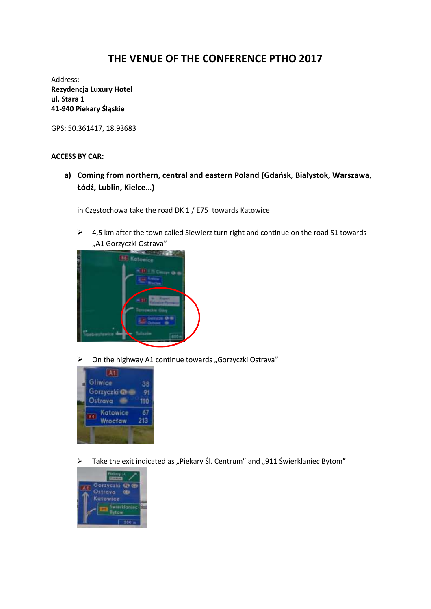## **THE VENUE OF THE CONFERENCE PTHO 2017**

Address: **Rezydencja Luxury Hotel ul. Stara 1 41-940 Piekary Śląskie**

GPS: 50.361417, 18.93683

## **ACCESS BY CAR:**

**a) Coming from northern, central and eastern Poland (Gdańsk, Białystok, Warszawa, Łódź, Lublin, Kielce…)**

in Częstochowa take the road DK 1 / E75 towards Katowice

 $\triangleright$  4,5 km after the town called Siewierz turn right and continue on the road S1 towards "A1 Gorzyczki Ostrava"



 $\triangleright$  On the highway A1 continue towards "Gorzyczki Ostrava"



 $\triangleright$  Take the exit indicated as "Piekary Śl. Centrum" and "911 Świerklaniec Bytom"

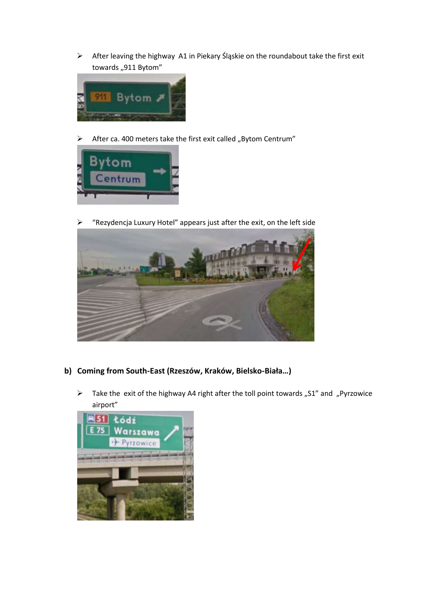$\triangleright$  After leaving the highway A1 in Piekary Śląskie on the roundabout take the first exit towards "911 Bytom"



 $\triangleright$  After ca. 400 meters take the first exit called "Bytom Centrum"



"Rezydencja Luxury Hotel" appears just after the exit, on the left side



- **b) Coming from South-East (Rzeszów, Kraków, Bielsko-Biała…)**
	- $\triangleright$  Take the exit of the highway A4 right after the toll point towards "S1" and "Pyrzowice airport"

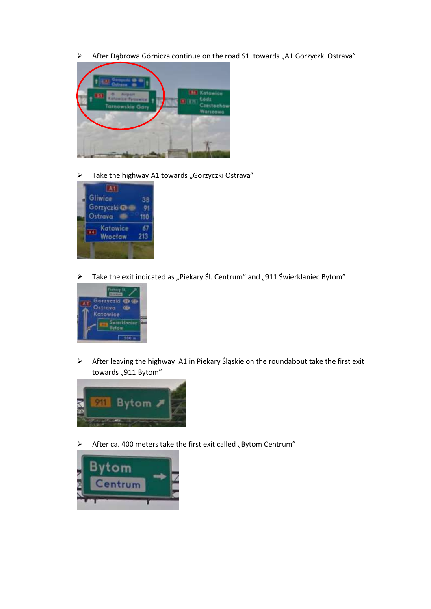$\triangleright$  After Dąbrowa Górnicza continue on the road S1 towards "A1 Gorzyczki Ostrava"



 $\triangleright$  Take the highway A1 towards "Gorzyczki Ostrava"



 $\triangleright$  Take the exit indicated as "Piekary Śl. Centrum" and "911 Świerklaniec Bytom"



 After leaving the highway A1 in Piekary Śląskie on the roundabout take the first exit towards "911 Bytom"



 $\triangleright$  After ca. 400 meters take the first exit called "Bytom Centrum"

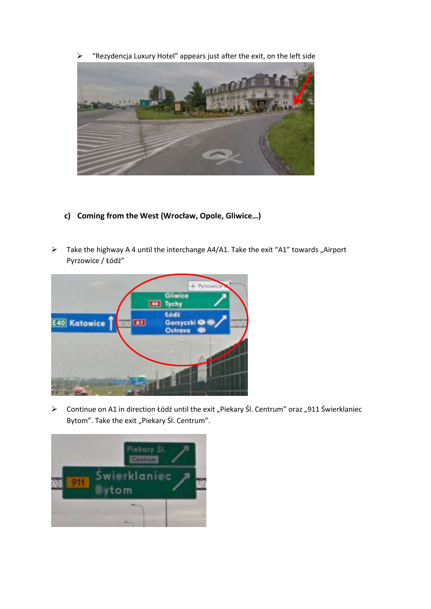



- **c) Coming from the West (Wrocław, Opole, Gliwice…)**
- $\triangleright$  Take the highway A 4 until the interchange A4/A1. Take the exit "A1" towards "Airport Pyrzowice / Łódź"



> Continue on A1 in direction Łódź until the exit "Piekary Śl. Centrum" oraz "911 Świerklaniec Bytom". Take the exit "Piekary Śl. Centrum".

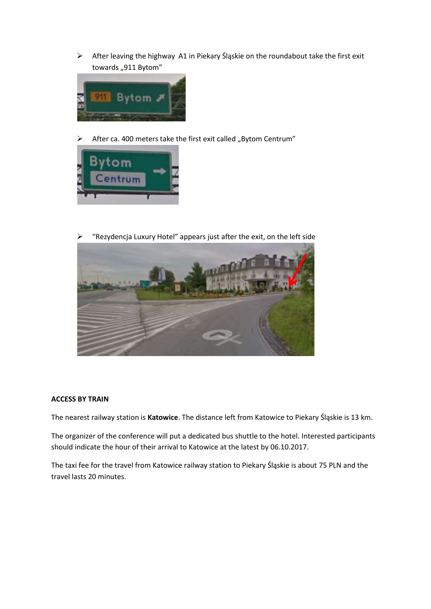After leaving the highway A1 in Piekary Śląskie on the roundabout take the first exit towards "911 Bytom"



 $\triangleright$  After ca. 400 meters take the first exit called "Bytom Centrum"



 $\triangleright$  "Rezydencja Luxury Hotel" appears just after the exit, on the left side



## **ACCESS BY TRAIN**

The nearest railway station is **Katowice**. The distance left from Katowice to Piekary Śląskie is 13 km.

The organizer of the conference will put a dedicated bus shuttle to the hotel. Interested participants should indicate the hour of their arrival to Katowice at the latest by 06.10.2017.

The taxi fee for the travel from Katowice railway station to Piekary Śląskie is about 75 PLN and the travel lasts 20 minutes.